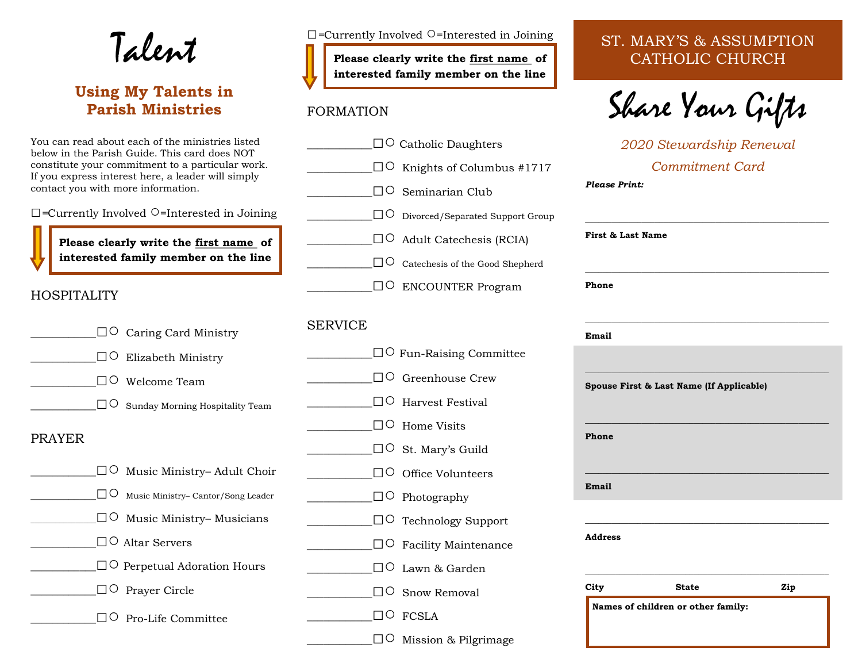Talent

# **Using My Talents in Parish Ministries**

You can read about each of the ministries listed below in the Parish Guide. This card does NOT constitute your commitment to a particular work. If you express interest here, a leader will simply contact you with more information.

*□=*Currently Involved ○=Interested in Joining

**Please clearly write the first name of interested family member on the line**

#### HOSPITALITY

|                   | $\square$ $\circ$ Caring Card Ministry   | S. |
|-------------------|------------------------------------------|----|
| $\Box$ $\bigcirc$ | Elizabeth Ministry                       |    |
|                   | $\Box$ O Welcome Team                    |    |
|                   | $\Box$ O Sunday Morning Hospitality Team |    |
| <b>PRAYER</b>     |                                          |    |
|                   | $\Box$ Music Ministry– Adult Choir       |    |
| I IO              | Music Ministry- Cantor/Song Leader       |    |
|                   | $\square$ Music Ministry– Musicians      |    |
|                   | $\square$ O Altar Servers                |    |
|                   | $\square$ Perpetual Adoration Hours      |    |
|                   | Prayer Circle                            |    |
|                   | Pro-Life Committee                       |    |
|                   |                                          |    |

*□=*Currently Involved ○=Interested in Joining

**Please clearly write the first name of interested family member on the line**

#### FORMATION

|                | $\square$ Catholic Daughters        |
|----------------|-------------------------------------|
|                | $\Box$ C Knights of Columbus #1717  |
|                | $\Box$ Seminarian Club              |
|                | □○ Divorced/Separated Support Group |
|                | $\square$ O Adult Catechesis (RCIA) |
|                | □○ Catechesis of the Good Shepherd  |
|                | $\square$ ENCOUNTER Program         |
|                |                                     |
| <b>SERVICE</b> |                                     |
|                | $\Box$ Fun-Raising Committee        |
|                | □○ Greenhouse Crew                  |
|                | $\Box$ Harvest Festival             |
|                | $\Box$ Home Visits                  |
|                | □○ St. Mary's Guild                 |
|                | □○ Office Volunteers                |
|                | $\Box$ Photography                  |
|                | $\Box$ Technology Support           |
|                | $\square$ Pacility Maintenance      |
|                | $\Box$ Lawn & Garden                |
|                | $\Box$ $\circ$ Snow Removal         |
|                | ]O FCSLA                            |
|                | 0 Mission & Pilgrimage              |

# ST. MARY'S & ASSUMPTION CATHOLIC CHURCH

Share Your Gifts

*2020 Stewardship Renewal Commitment Card Please Print:*

| Phone<br>Email<br>Spouse First & Last Name (If Applicable) |     |
|------------------------------------------------------------|-----|
|                                                            |     |
|                                                            |     |
|                                                            |     |
| Phone                                                      |     |
| Email                                                      |     |
| <b>Address</b>                                             |     |
| City<br><b>State</b>                                       | Zip |